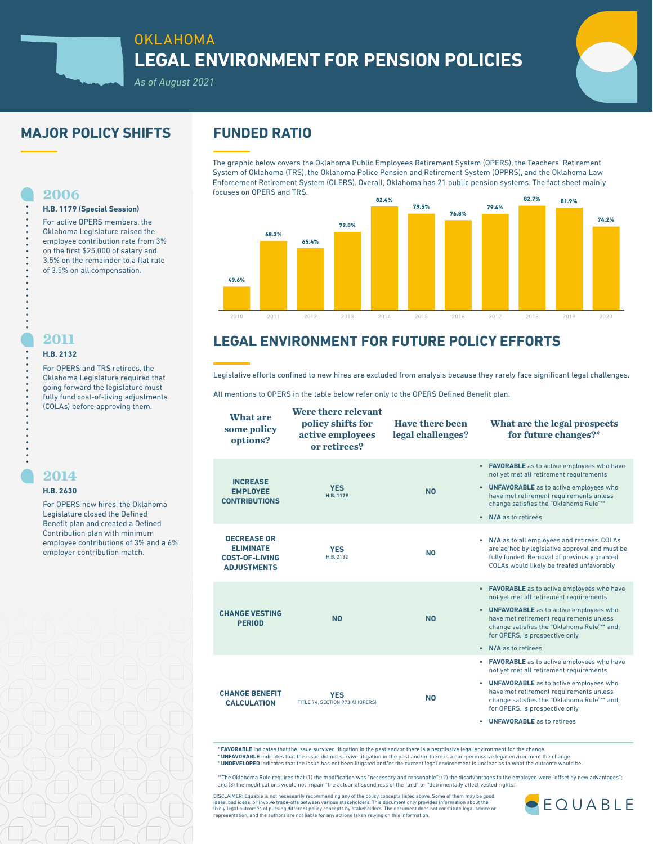

# OKLAHOMA **LEGAL ENVIRONMENT FOR PENSION POLICIES**



## *As of August 2021*

## **MAJOR POLICY SHIFTS FUNDED RATIO**

**H.B. 1179 (Special Session)** For active OPERS members, the Oklahoma Legislature raised the employee contribution rate from 3% on the first \$25,000 of salary and 3.5% on the remainder to a flat rate of 3.5% on all compensation.

The graphic below covers the Oklahoma Public Employees Retirement System (OPERS), the Teachers' Retirement System of Oklahoma (TRS), the Oklahoma Police Pension and Retirement System (OPPRS), and the Oklahoma Law Enforcement Retirement System (OLERS). Overall, Oklahoma has 21 public pension systems. The fact sheet mainly focuses on OPERS and TRS.



# **LEGAL ENVIRONMENT FOR FUTURE POLICY EFFORTS**

Legislative efforts confined to new hires are excluded from analysis because they rarely face significant legal challenges.

All mentions to OPERS in the table below refer only to the OPERS Defined Benefit plan.

| <b>What are</b><br>some policy<br>options?                                            | Were there relevant<br>policy shifts for<br>active employees<br>or retirees? | <b>Have there been</b><br>legal challenges? | What are the legal prospects<br>for future changes?*                                                                                                                                                                                                                                                     |
|---------------------------------------------------------------------------------------|------------------------------------------------------------------------------|---------------------------------------------|----------------------------------------------------------------------------------------------------------------------------------------------------------------------------------------------------------------------------------------------------------------------------------------------------------|
| <b>INCREASE</b><br><b>EMPLOYEE</b><br><b>CONTRIBUTIONS</b>                            | <b>YES</b><br>H.B. 1179                                                      | <b>NO</b>                                   | • FAVORABLE as to active employees who have<br>not yet met all retirement requirements<br>• UNFAVORABLE as to active employees who<br>have met retirement requirements unless<br>change satisfies the "Oklahoma Rule"**<br>• N/A as to retirees                                                          |
| <b>DECREASE OR</b><br><b>ELIMINATE</b><br><b>COST-OF-LIVING</b><br><b>ADJUSTMENTS</b> | <b>YES</b><br>H.B. 2132                                                      | <b>NO</b>                                   | • N/A as to all employees and retirees. COLAs<br>are ad hoc by legislative approval and must be<br>fully funded. Removal of previously granted<br>COLAs would likely be treated unfavorably                                                                                                              |
| <b>CHANGE VESTING</b><br><b>PERIOD</b>                                                | <b>NO</b>                                                                    | <b>NO</b>                                   | • FAVORABLE as to active employees who have<br>not yet met all retirement requirements<br>• UNFAVORABLE as to active employees who<br>have met retirement requirements unless<br>change satisfies the "Oklahoma Rule"** and,<br>for OPERS, is prospective only<br>N/A as to retirees<br>$\bullet$        |
| <b>CHANGE BENEFIT</b><br><b>CALCULATION</b>                                           | <b>YES</b><br>TITLE 74, SECTION 973(A) (OPERS)                               | <b>NO</b>                                   | • FAVORABLE as to active employees who have<br>not yet met all retirement requirements<br>• UNFAVORABLE as to active employees who<br>have met retirement requirements unless<br>change satisfies the "Oklahoma Rule"** and,<br>for OPERS, is prospective only<br><b>UNFAVORABLE</b> as to retirees<br>٠ |

\* **FAVORABLE** indicates that the issue survived litigation in the past and/or there is a permissive legal environment for the change. \* **UNFAVORABLE** indicates that the issue did not survive litigation in the past and/or there is a non-permissive legal environment the change.

\* **UNDEVELOPED** indicates that the issue has not been litigated and/or the current legal environment is unclear as to what the outcome would be.

\*\*The Oklahoma Rule requires that (1) the modification was "necessary and reasonable"; (2) the disadvantages to the employee were "offset by new advantages"; and (3) the modifications would not impair "the actuarial soundness of the fund" or "detrimentally affect vested rights."

DISCLAIMER: Equable is not necessarily recommending any of the policy concepts listed above. Some of them may be good<br>ideas, bad ideas, or involve trade-offs between various stakeholders. This document only provides inform representation, and the authors are not liable for any actions taken relying on this information.



## **2011**

**2006**

#### **H.B. 2132**

For OPERS and TRS retirees, the Oklahoma Legislature required that going forward the legislature must fully fund cost-of-living adjustments (COLAs) before approving them.

### **2014**

### **H.B. 2630**

For OPERS new hires, the Oklahoma Legislature closed the Defined Benefit plan and created a Defined Contribution plan with minimum employee contributions of 3% and a 6% employer contribution match.